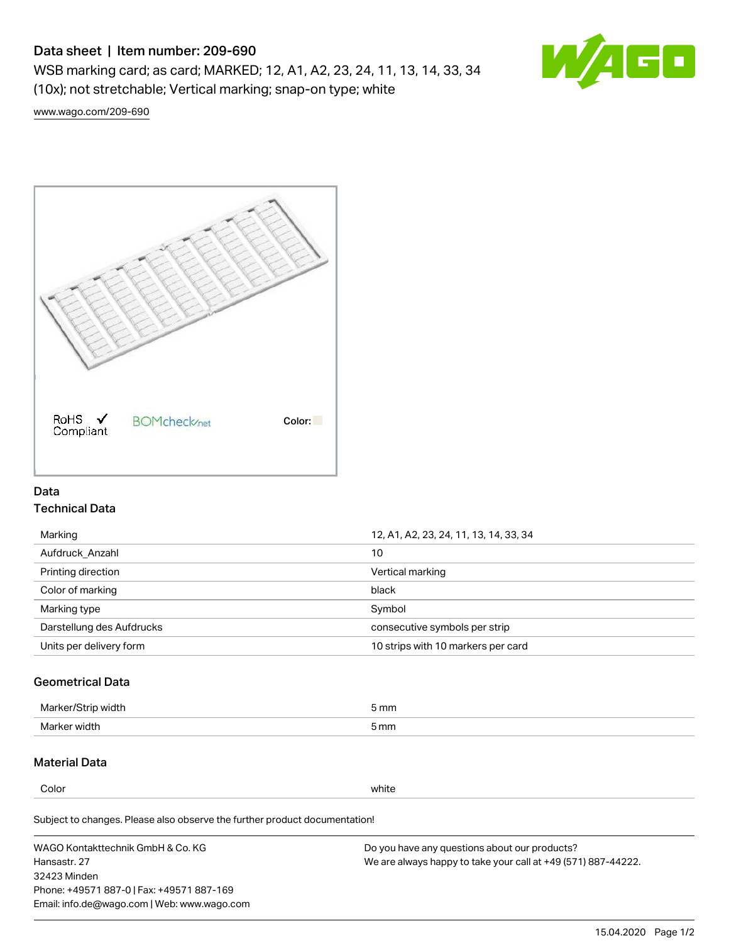## Data sheet | Item number: 209-690

WSB marking card; as card; MARKED; 12, A1, A2, 23, 24, 11, 13, 14, 33, 34 (10x); not stretchable; Vertical marking; snap-on type; white



[www.wago.com/209-690](http://www.wago.com/209-690)



## Data Technical Data

| Marking                   | 12, A1, A2, 23, 24, 11, 13, 14, 33, 34 |  |
|---------------------------|----------------------------------------|--|
| Aufdruck Anzahl           | 10                                     |  |
| Printing direction        | Vertical marking                       |  |
| Color of marking          | black                                  |  |
| Marking type              | Symbol                                 |  |
| Darstellung des Aufdrucks | consecutive symbols per strip          |  |
| Units per delivery form   | 10 strips with 10 markers per card     |  |

## Geometrical Data

| طلقاء ئ<br><b>Marker</b><br>widtr | ັກmm |
|-----------------------------------|------|
| Marker width                      | 5 mm |

## Material Data

Color white

Subject to changes. Please also observe the further product documentation!

WAGO Kontakttechnik GmbH & Co. KG Hansastr. 27 32423 Minden Phone: +49571 887-0 | Fax: +49571 887-169 Email: info.de@wago.com | Web: www.wago.com Do you have any questions about our products? We are always happy to take your call at +49 (571) 887-44222.